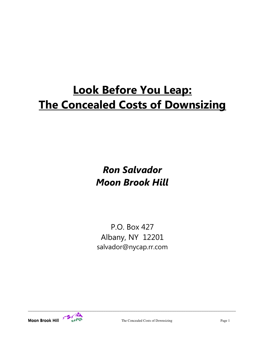# **Look Before You Leap: The Concealed Costs of Downsizing**

## *Ron Salvador Moon Brook Hill*

P.O. Box 427 Albany, NY 12201 salvador@nycap.rr.com

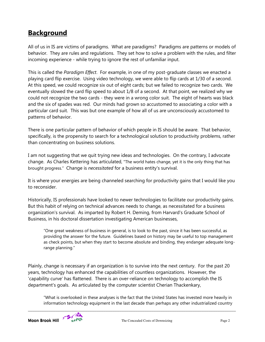### **Background**

All of us in IS are victims of paradigms. What are paradigms? Paradigms are patterns or models of behavior. They are rules and regulations. They set how to solve a problem with the rules, and filter incoming experience - while trying to ignore the rest of unfamiliar input.

This is called the *Paradigm Effect*. For example, in one of my post-graduate classes we enacted a playing card flip exercise. Using video technology, we were able to flip cards at 1/30 of a second. At this speed, we could recognize six out of eight cards; but we failed to recognize two cards. We eventually slowed the card flip speed to about 1/8 of a second. At that point, we realized why we could not recognize the two cards - they were in a wrong color suit. The eight of hearts was black and the six of spades was red. Our minds had grown so accustomed to associating a color with a particular card suit. This was but one example of how all of us are unconsciously accustomed to patterns of behavior.

There is one particular pattern of behavior of which people in IS should be aware. That behavior, specifically, is the propensity to search for a technological solution to productivity problems, rather than concentrating on business solutions.

I am not suggesting that we quit trying new ideas and technologies. On the contrary, I advocate change. As Charles Kettering has articulated, "The world hates change, yet it is the only thing that has brought progress." Change is *necessitated* for a business entity's survival.

It is where your energies are being channeled searching for productivity gains that I would like you to reconsider.

Historically, IS professionals have looked to newer technologies to facilitate our productivity gains. But this habit of relying on technical advances needs to change, as necessitated for a business organization's survival. As imparted by Robert H. Deming, from Harvard's Graduate School of Business, in his doctoral dissertation investigating American businesses,

 "One great weakness of business in general, is to look to the past, since it has been successful, as providing the answer for the future. Guidelines based on history may be useful to top management as check points, but when they start to become absolute and binding, they endanger adequate longrange planning."

Plainly, change is necessary if an organization is to survive into the next century. For the past 20 years, technology has enhanced the capabilities of countless organizations. However, the 'capability curve' has flattened. There is an over-reliance on technology to accomplish the IS department's goals. As articulated by the computer scientist Cherian Thackenkary,

"What is overlooked in these analyses is the fact that the United States has invested more heavily in information technology equipment in the last decade than perhaps any other industrialized country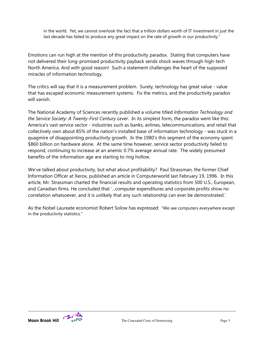in the world. Yet, we cannot overlook the fact that a trillion dollars worth of IT investment in just the last decade has failed to produce any great impact on the rate of growth in our productivity."

Emotions can run high at the mention of this productivity paradox. Stating that computers have not delivered their long-promised productivity payback sends shock waves through high-tech North America. And with good reason! Such a statement challenges the heart of the supposed miracles of information technology.

The critics will say that it is a measurement problem. Surely, technology has great value - value that has escaped economic measurement systems. Fix the metrics, and the productivity paradox will vanish.

The National Academy of Sciences recently published a volume titled *Information Technology and the Service Society: A Twenty-First Century Lever*. In its simplest form, the paradox went like this: America's vast service sector - industries such as banks, airlines, telecommunications, and retail that collectively own about 85% of the nation's installed base of information technology - was stuck in a quagmire of disappointing productivity growth. In the 1980's this segment of the economy spent \$860 billion on hardware alone. At the same time however, service sector productivity failed to respond, continuing to increase at an anemic 0.7% average annual rate. The widely presumed benefits of the information age are starting to ring hollow.

We've talked about productivity, but what about profitability? Paul Strassman, the former Chief Information Officer at Xerox, published an article in Computerworld last February 19, 1996. In this article, Mr. Strassman charted the financial results and operating statistics from 500 U.S., European, and Canadian firms. He concluded that '...computer expenditures and corporate profits show no correlation whatsoever, and it is unlikely that any such relationship can ever be demonstrated.'

As the Nobel Laureate economist Robert Solow has expressed: "We see computers everywhere except in the productivity statistics."

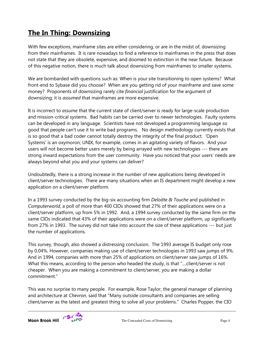## **The In Thing: Downsizing**

With few exceptions, mainframe sites are either considering, or are in the midst of, downsizing from their mainframes. It is rare nowadays to find a reference to mainframes in the press that does not state that they are obsolete, expensive, and doomed to extinction in the near future. Because of this negative notion, there is much talk about downsizing from mainframes to smaller systems.

We are bombarded with questions such as: When is your site transitioning to open systems? What front-end to Sybase did you choose? When are you getting rid of your mainframe and save some money? Proponents of downsizing rarely cite *financial* justification for the argument of downsizing; it is *assumed* that mainframes are more expensive.

It is incorrect to *assume* that the current state of client/server is ready for large-scale production and mission-critical systems. Bad habits can be carried over to newer technologies. Faulty systems can be developed in any language. Scientists have not developed a programming language so good that people can't use it to write bad programs. No design methodology currently exists that is so good that a bad coder cannot totally destroy the integrity of the final product. 'Open Systems' is an oxymoron; UNIX, for example, comes in an agitating variety of flavors. And your users will not become better users merely by being arrayed with new technologies --- there are strong inward expectations from the user community. Have you noticed that your users' needs are always beyond what you and your systems can deliver?

Undoubtedly, there is a strong increase in the number of new applications being developed in client/server technologies. There are many situations when an IS department might develop a new application on a client/server platform.

In a 1993 survey conducted by the big-six accounting firm *Deloitte & Touche* and published in *Computerworld*, a poll of more than 400 CIOs showed that 27% of their applications were on a client/server platform, up from 5% in 1992. And, a 1994 survey conducted by the same firm on the same CIOs indicated that 43% of their applications were on a client/server platform, up significantly from 27% in 1993. The survey did not take into account the size of these applications --- but just the number of applications.

This survey, though, also showed a distressing conclusion. The 1993 average IS budget only rose by 0.04%. However, companies making use of client/server technologies in 1993 saw jumps of 9%. And in 1994, companies with more than 25% of applications on client/server saw jumps of 16%. What this means, according to the person who headed the study, is that "....client/server is not cheaper. When you are making a commitment to client/server, you are making a dollar commitment."

This was no surprise to many people. For example, Rose Taylor, the general manager of planning and architecture at *Chevron*, said that "Many outside consultants and companies are selling client/server as the latest and greatest thing to solve all your problems." Charles Popper, the CIO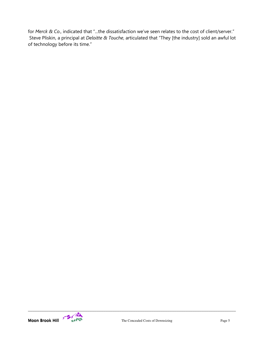for *Merck & Co*., indicated that "...the dissatisfaction we've seen relates to the cost of client/server." Steve Pliskin, a principal at *Deloitte & Touche*, articulated that "They [the industry] sold an awful lot of technology before its time."

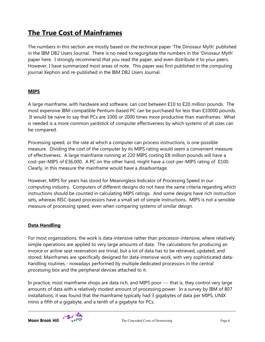## **The True Cost of Mainframes**

The numbers in this section are mostly based on the technical paper 'The Dinosaur Myth' published in the IBM DB2 Users Journal. There is no need to regurgitate the numbers in the 'Dinosaur Myth' paper here. I strongly recommend that you read the paper, and even distribute it to your peers. However, I have summarized most areas of note. This paper was first published in the computing journal Xephon and re-published in the IBM DB2 Users Journal.

#### **MIPS**

A large mainframe, with hardware and software, can cost between £10 to £20 million pounds. The most expensive IBM-compatible Pentium-based PC can be purchased for less than £10000 pounds. It would be naive to say that PCs are 1000 or 2000 times more productive than mainframes. What is needed is a more common yardstick of computer effectiveness by which systems of all sizes can be compared.

Processing speed, or the rate at which a computer can process instructions, is one possible measure. Dividing the cost of the computer by its MIPS rating would seem a convenient measure of effectiveness. A large mainframe running at 220 MIPS costing £8 million pounds will have a cost-per-MIPS of £36,000. A PC on the other hand, might have a cost-per-MIPS rating of £100. Clearly, in this measure the mainframe would have a disadvantage.

However, MIPS for years has stood for Meaningless Indicator of Processing Speed in our computing industry. Computers of different designs do not have the same criteria regarding which instructions should be counted in calculating MIPS ratings. And some designs have rich instruction sets, whereas RISC-based processors have a small set of simple instructions. MIPS is not a sensible measure of processing speed, even when comparing systems of similar design.

#### **Data Handling**

For most organizations, the work is data-intensive rather than processor-intensive, where relatively simple operations are applied to very large amounts of data. The calculations for producing an invoice or airline seat reservation are trivial, but a lot of data has to be retrieved, updated, and stored. Mainframes are specifically designed for data-intensive work, with very sophisticated datahandling routines - nowadays performed by multiple dedicated processors in the central processing box and the peripheral devices attached to it.

In practice, most mainframe shops are data rich, and MIPS poor --- that is, they control very large amounts of data with a relatively modest amount of processing power. In a survey by IBM of 807 installations, it was found that the mainframe typically had 3 gigabytes of data per MIPS, UNIX minis a fifth of a gigabyte, and a tenth of a gigabyte for PCs.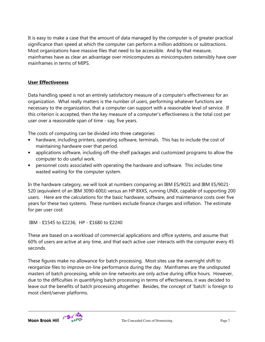It is easy to make a case that the amount of data managed by the computer is of greater practical significance than speed at which the computer can perform a million additions or subtractions. Most organizations have massive files that need to be accessible. And by that measure, mainframes have as clear an advantage over minicomputers as minicomputers ostensibly have over mainframes in terms of MIPS.

#### **User Effectiveness**

Data handling speed is not an entirely satisfactory measure of a computer's effectiveness for an organization. What really matters is the number of users, performing whatever functions are necessary to the organization, that a computer can support with a reasonable level of service. If this criterion is accepted, then the key measure of a computer's effectiveness is the total cost per user over a reasonable span of time - say, five years.

The costs of computing can be divided into three categories:

- hardware, including printers, operating software, terminals. This has to include the cost of maintaining hardware over that period.
- applications software, including off-the-shelf packages and customized programs to allow the computer to do useful work.
- personnel costs associated with operating the hardware and software. This includes time wasted waiting for the computer system.

In the hardware category, we will look at numbers comparing an IBM ES/9021 and IBM ES/9021- 520 (equivalent of an IBM 3090-600J) versus an HP 8XXS, running UNIX, capable of supporting 200 users. Here are the calculations for the basic hardware, software, and maintenance costs over five years for these two systems. These numbers exclude finance charges and inflation. The estimate for per user cost:

IBM - £1545 to £2236; HP - £1680 to £2240

These are based on a workload of commercial applications and office systems, and assume that 60% of users are active at any time, and that each active user interacts with the computer every 45 seconds.

These figures make no allowance for batch processing. Most sites use the overnight shift to reorganize files to improve on-line performance during the day. Mainframes are the undisputed masters of batch processing, while on-line networks are only active during office hours. However, due to the difficulties in quantifying batch processing in terms of effectiveness, it was decided to leave out the benefits of batch processing altogether. Besides, the concept of 'batch' is foreign to most client/server platforms.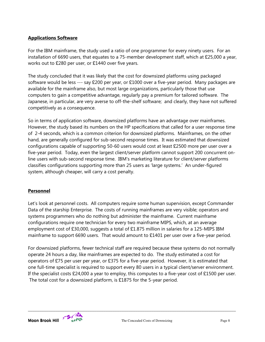#### **Applications Software**

For the IBM mainframe, the study used a ratio of one programmer for every ninety users. For an installation of 6690 users, that equates to a 75-member development staff, which at £25,000 a year, works out to £280 per user, or £1440 over five years.

The study concluded that it was likely that the cost for downsized platforms using packaged software would be less --- say £200 per year, or £1000 over a five-year period. Many packages are available for the mainframe also, but most large organizations, particularly those that use computers to gain a competitive advantage, regularly pay a premium for tailored software. The Japanese, in particular, are very averse to off-the-shelf software; and clearly, they have not suffered competitively as a consequence.

So in terms of application software, downsized platforms have an advantage over mainframes. However, the study based its numbers on the HP specifications that called for a user response time of 2-4 seconds, which is a common criterion for downsized platforms. Mainframes, on the other hand, are generally configured for sub-second response times. It was estimated that downsized configurations capable of supporting 50-60 users would cost at least £2500 more per user over a five-year period. Today, even the largest client/server platform cannot support 200 concurrent online users with sub-second response time. IBM's marketing literature for client/server platforms classifies configurations supporting more than 25 users as 'large systems.' An under-figured system, although cheaper, will carry a cost penalty.

#### **Personnel**

Let's look at personnel costs. All computers require some human supervision, except Commander Data of the starship Enterprise. The costs of running mainframes are very visible; operators and systems programmers who do nothing but administer the mainframe. Current mainframe configurations require one technician for every two mainframe MIPS, which, at an average employment cost of £30,000, suggests a total of £1.875 million in salaries for a 125-MIPS IBM mainframe to support  $6690$  users. That would amount to £1401 per user over a five-year period.

For downsized platforms, fewer technical staff are required because these systems do not normally operate 24 hours a day, like mainframes are expected to do. The study estimated a cost for operators of £75 per user per year, or £375 for a five-year period. However, it is estimated that one full-time specialist is required to support every 80 users in a typical client/server environment. If the specialist costs £24,000 a year to employ, this computes to a five-year cost of £1500 per user. The total cost for a downsized platform, is £1875 for the 5-year period.

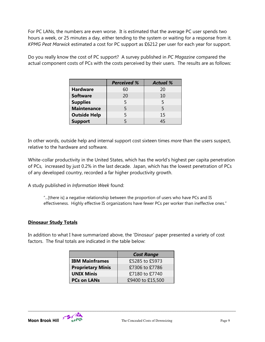For PC LANs, the numbers are even worse. It is estimated that the average PC user spends two hours a week, or 25 minutes a day, either tending to the system or waiting for a response from it*. KPMG Peat Marwick* estimated a cost for PC support as £6212 per user for each year for support.

Do you really know the cost of PC support? A survey published in *PC Magazine* compared the actual component costs of PCs with the costs perceived by their users. The results are as follows:

|                     | <b>Perceived %</b> | <b>Actual %</b> |
|---------------------|--------------------|-----------------|
| <b>Hardware</b>     | 60                 | 20              |
| <b>Software</b>     | 20                 | 10              |
| <b>Supplies</b>     |                    |                 |
| <b>Maintenance</b>  |                    |                 |
| <b>Outside Help</b> |                    | 15              |
| <b>Support</b>      |                    | 45              |

In other words, outside help and internal support cost sixteen times *more* than the users suspect, relative to the hardware and software.

White-collar productivity in the United States, which has the world's highest per capita penetration of PCs, increased by just 0.2% in the last decade. Japan, which has the lowest penetration of PCs of any developed country, recorded a far higher productivity growth.

A study published in *Information Week* found:

"...[there is] a negative relationship between the proportion of users who have PCs and IS effectiveness. Highly effective IS organizations have fewer PCs per worker than ineffective ones."

#### **Dinosaur Study Totals**

In addition to what I have summarized above, the 'Dinosaur' paper presented a variety of cost factors. The final totals are indicated in the table below:

|                          | <b>Cost Range</b> |  |  |
|--------------------------|-------------------|--|--|
| <b>IBM Mainframes</b>    | £5285 to £5973    |  |  |
| <b>Proprietary Minis</b> | £7306 to £7786    |  |  |
| <b>UNIX Minis</b>        | £7180 to £7740    |  |  |
| <b>PCs on LANs</b>       | £9400 to £15,500  |  |  |

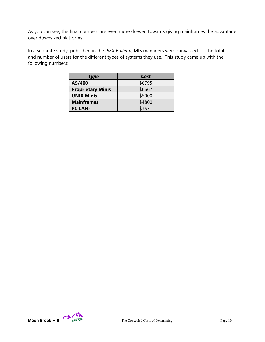As you can see, the final numbers are even more skewed towards giving mainframes the advantage over downsized platforms.

In a separate study, published in the *IBEX Bulletin*, MIS managers were canvassed for the total cost and number of users for the different types of systems they use. This study came up with the following numbers:

| Type                     | Cost   |
|--------------------------|--------|
| AS/400                   | \$6795 |
| <b>Proprietary Minis</b> | \$6667 |
| <b>UNIX Minis</b>        | \$5000 |
| <b>Mainframes</b>        | \$4800 |
| <b>PC LANS</b>           | \$3571 |

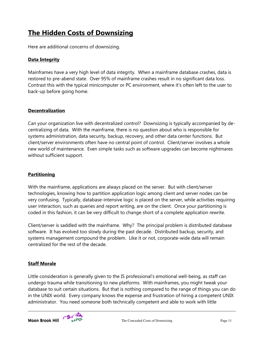## **The Hidden Costs of Downsizing**

Here are additional concerns of downsizing.

#### **Data Integrity**

Mainframes have a very high level of data integrity. When a mainframe database crashes, data is restored to pre-abend state. Over 95% of mainframe crashes result in no significant data loss. Contrast this with the typical minicomputer or PC environment, where it's often left to the user to back-up before going home.

#### **Decentralization**

Can your organization live with decentralized control? Downsizing is typically accompanied by decentralizing of data. With the mainframe, there is no question about who is responsible for systems administration, data security, backup, recovery, and other data center functions. But client/server environments often have no central point of control. Client/server involves a whole new world of maintenance. Even simple tasks such as software upgrades can become nightmares without sufficient support.

#### **Partitioning**

With the mainframe, applications are always placed on the server. But with client/server technologies, knowing how to partition application logic among client and server nodes can be very confusing. Typically, database-intensive logic is placed on the server, while activities requiring user interaction, such as queries and report writing, are on the client. Once your partitioning is coded in this fashion, it can be very difficult to change short of a complete application rewrite.

Client/server is saddled with the mainframe. Why? The principal problem is distributed database software. It has evolved too slowly during the past decade. Distributed backup, security, and systems management compound the problem. Like it or not, corporate-wide data will remain centralized for the rest of the decade.

#### **Staff Morale**

Little consideration is generally given to the IS professional's emotional well-being, as staff can undergo trauma while transitioning to new platforms. With mainframes, you might tweak your database to suit certain situations. But that is nothing compared to the range of things you can do in the UNIX world. Every company knows the expense and frustration of hiring a competent UNIX administrator. You need someone both technically competent and able to work with little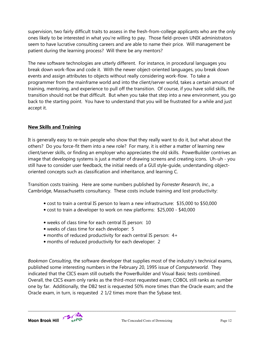supervision, two fairly difficult traits to assess in the fresh-from-college applicants who are the only ones likely to be interested in what you're willing to pay. Those field-proven UNIX administrators seem to have lucrative consulting careers and are able to name their price. Will management be patient during the learning process? Will there be any mentors?

The new software technologies are utterly different. For instance, in procedural languages you break down work-flow and code it. With the newer object-oriented languages, you break down events and assign attributes to objects without really considering work-flow. To take a programmer from the mainframe world and into the client/server world, takes a certain amount of training, mentoring, and experience to pull off the transition. Of course, if you have solid skills, the transition should not be that difficult. But when you take that step into a new environment, you go back to the starting point. You have to understand that you will be frustrated for a while and just accept it.

#### **New Skills and Training**

It is generally easy to re-train people who show that they really want to do it, but what about the others? Do you force-fit them into a new role? For many, it is either a matter of learning new client/server skills, or finding an employer who appreciates the old skills. PowerBuilder contrives an image that developing systems is just a matter of drawing screens and creating icons. Uh-uh - you still have to consider user feedback, the initial needs of a GUI style-guide, understanding objectoriented concepts such as classification and inheritance, and learning C.

Transition costs training. Here are some numbers published by *Forrester Research, Inc*., a Cambridge, Massachusetts consultancy. These costs include training and lost productivity:

- cost to train a central IS person to learn a new infrastructure: \$35,000 to \$50,000
- cost to train a developer to work on new platforms: \$25,000 \$40,000
- weeks of class time for each central IS person: 10
- weeks of class time for each developer: 5
- months of reduced productivity for each central IS person: 4+
- months of reduced productivity for each developer: 2

*Bookman Consulting*, the software developer that supplies most of the industry's technical exams, published some interesting numbers in the February 20, 1995 issue of *Computerworld*. They indicated that the CICS exam still outsells the PowerBuilder and Visual Basic tests combined. Overall, the CICS exam only ranks as the third-most requested exam; COBOL still ranks as number one by far. Additionally, the DB2 test is requested 50% more times than the Oracle exam; and the Oracle exam, in turn, is requested 2 1/2 times more than the Sybase test.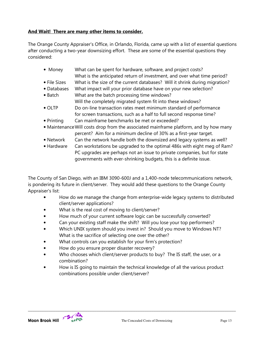#### **And Wait! There are many other items to consider.**

The Orange County Appraiser's Office, in Orlando, Florida, came up with a list of essential questions after conducting a two-year downsizing effort. These are some of the essential questions they considered:

- Money What can be spent for hardware, software, and project costs? What is the anticipated return of investment, and over what time period?
- File Sizes What is the size of the current databases? Will it shrink during migration?
- Databases What impact will your prior database have on your new selection?
- Batch What are the batch processing time windows? Will the completely migrated system fit into these windows?
- OLTP Do on-line transaction rates meet minimum standard of performance for screen transactions, such as a half to full second response time?
- Printing Can mainframe benchmarks be met or exceeded?
- Maintenance Will costs drop from the associated mainframe platform, and by how many percent? Aim for a minimum decline of 30% as a first-year target.
- Network Can the network handle both the downsized and legacy systems as well?
- Hardware Can workstations be upgraded to the optimal 486s with eight meg of Ram? PC upgrades are perhaps not an issue to private companies, but for state governments with ever-shrinking budgets, this is a definite issue.

The County of San Diego, with an IBM 3090-600J and a 1,400-node telecommunications network, is pondering its future in client/server. They would add these questions to the Orange County Appraiser's list:

- How do we manage the change from enterprise-wide legacy systems to distributed client/server applications?
- What is the real cost of moving to client/server?
- How much of your current software logic can be successfully converted?
- Can your existing staff make the shift? Will you lose your top performers?
- Which UNIX system should you invest in? Should you move to Windows NT? What is the sacrifice of selecting one over the other?
- What controls can you establish for your firm's protection?
- How do you ensure proper disaster recovery?
- Who chooses which client/server products to buy? The IS staff, the user, or a combination?
- How is IS going to maintain the technical knowledge of all the various product combinations possible under client/server?

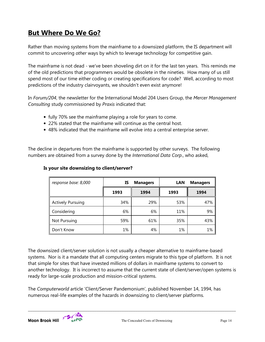## **But Where Do We Go?**

Rather than moving systems from the mainframe to a downsized platform, the IS department will commit to uncovering *other* ways by which to leverage technology for competitive gain.

The mainframe is not dead - we've been shoveling dirt on it for the last ten years. This reminds me of the old predictions that programmers would be obsolete in the nineties. How many of us still spend most of our time either coding or creating specifications for code? Well, according to most predictions of the industry clairvoyants, we shouldn't even exist anymore!

In *Forum/204*, the newsletter for the International Model 204 Users Group, the *Mercer Management Consulting* study commissioned by *Praxis* indicated that:

- fully 70% see the mainframe playing a role for years to come.
- 22% stated that the mainframe will continue as the central host.
- 48% indicated that the mainframe will evolve into a central enterprise server.

The decline in departures from the mainframe is supported by other surveys. The following numbers are obtained from a survey done by the *International Data Corp*., who asked,

| response base: 8,000     | IS<br><b>Managers</b> |      | <b>LAN</b><br><b>Managers</b> |      |
|--------------------------|-----------------------|------|-------------------------------|------|
|                          | 1993                  | 1994 | 1993                          | 1994 |
| <b>Actively Pursuing</b> | 34%                   | 29%  | 53%                           | 47%  |
| Considering              | 6%                    | 6%   | 11%                           | 9%   |
| Not Pursuing             | 59%                   | 61%  | 35%                           | 43%  |
| Don't Know               | 1%                    | 4%   | 1%                            | 1%   |

#### **Is your site downsizing to client/server?**

The downsized client/server solution is not usually a cheaper alternative to mainframe-based systems. Nor is it a mandate that all computing centers migrate to this type of platform. It is not that simple for sites that have invested millions of dollars in mainframe systems to convert to another technology. It is incorrect to assume that the current state of client/server/open systems is ready for large-scale production and mission-critical systems.

\_\_\_\_\_\_\_\_\_\_\_\_\_\_\_\_\_\_\_\_\_\_\_\_\_\_\_\_\_\_\_\_\_\_\_\_\_\_\_\_\_\_\_\_\_\_\_\_\_\_\_\_\_\_\_\_\_\_\_\_\_\_\_\_\_\_\_\_\_\_\_\_\_\_\_\_\_\_\_\_\_\_\_\_\_\_\_\_\_\_\_

The *Computerworld* article 'Client/Server Pandemonium', published November 14, 1994, has numerous real-life examples of the hazards in downsizing to client/server platforms.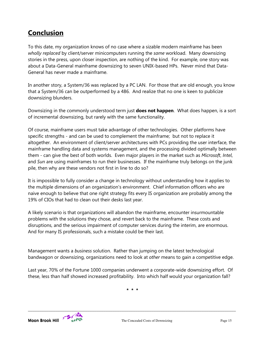## **Conclusion**

To this date, my organization knows of no case where a sizable modern mainframe has been *wholly replaced* by client/server minicomputers running the *same* workload. Many downsizing stories in the press, upon closer inspection, are nothing of the kind. For example, one story was about a Data-General mainframe downsizing to seven UNIX-based HPs. Never mind that Data-General has never made a mainframe.

In another story, a System/36 was replaced by a PC LAN. For those that are old enough, you know that a System/36 can be outperformed by a 486. And realize that no one is keen to publicize downsizing blunders.

Downsizing in the commonly understood term just **does not happen**. What does happen, is a sort of incremental downsizing, but rarely with the same functionality.

Of course, mainframe users must take advantage of other technologies. Other platforms have specific strengths - and can be used to complement the mainframe; but not to replace it altogether. An environment of client/server architectures with PCs providing the user interface, the mainframe handling data and systems management, and the processing divided optimally between them - can give the best of both worlds. Even major players in the market such as *Microsoft*, *Intel*, and *Sun* are using mainframes to run their businesses. If the mainframe truly belongs on the junk pile, then why are these vendors not first in line to do so?

It is impossible to fully consider a change in technology without understanding how it applies to the multiple dimensions of an organization's environment. Chief information officers who are naive enough to believe that one right strategy fits every IS organization are probably among the 19% of CIOs that had to clean out their desks last year.

A likely scenario is that organizations will abandon the mainframe, encounter insurmountable problems with the solutions they chose, and revert back to the mainframe. These costs and disruptions, and the serious impairment of computer services during the interim, are enormous. And for many IS professionals, such a mistake could be their last.

Management wants a *business* solution. Rather than jumping on the latest technological bandwagon or downsizing, organizations need to look at *other* means to gain a competitive edge.

Last year, 70% of the Fortune 1000 companies underwent a corporate-wide downsizing effort. Of these, less than half showed increased profitability. Into which half would your organization fall?

**\* \* \***